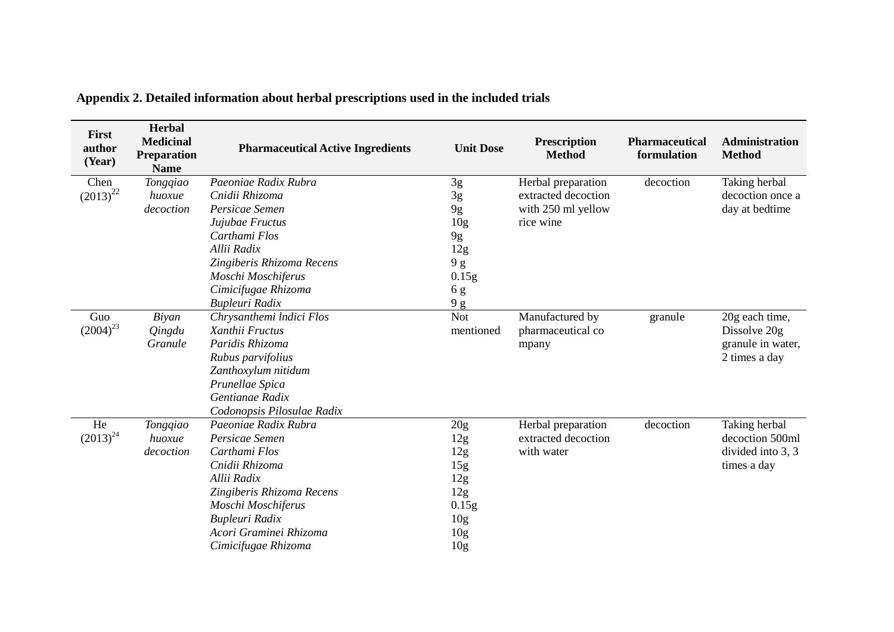| First<br>author<br>(Year) | Herbal<br><b>Medicinal</b><br>Preparation<br><b>Name</b> | <b>Pharmaceutical Active Ingredients</b> | <b>Unit Dose</b>      | <b>Prescription</b><br><b>Method</b>      | <b>Pharmaceutical</b><br>formulation | Administration<br><b>Method</b>   |
|---------------------------|----------------------------------------------------------|------------------------------------------|-----------------------|-------------------------------------------|--------------------------------------|-----------------------------------|
| Chen<br>$(2013)^{22}$     | Tongqiao<br>huoxue                                       | Paeoniae Radix Rubra<br>Cnidii Rhizoma   | $3g$                  | Herbal preparation<br>extracted decoction | decoction                            | Taking herbal<br>decoction once a |
|                           | decoction                                                | Persicae Semen                           | 3g                    | with 250 ml yellow                        |                                      | day at bedtime                    |
|                           |                                                          | Jujubae Fructus                          | 9g<br>10 <sub>g</sub> | rice wine                                 |                                      |                                   |
|                           |                                                          | Carthami Flos                            | 9g                    |                                           |                                      |                                   |
|                           |                                                          | Allii Radix                              | 12g                   |                                           |                                      |                                   |
|                           |                                                          | Zingiberis Rhizoma Recens                | 9g                    |                                           |                                      |                                   |
|                           |                                                          | Moschi Moschiferus                       | 0.15g                 |                                           |                                      |                                   |
|                           |                                                          | Cimicifugae Rhizoma                      | 6g                    |                                           |                                      |                                   |
|                           |                                                          | Bupleuri Radix                           | 9 g                   |                                           |                                      |                                   |
| Guo                       | Biyan                                                    | Chrysanthemi Indici Flos                 | <b>Not</b>            | Manufactured by                           | granule                              | 20g each time,                    |
| $(2004)^{23}$             | Qingdu                                                   | Xanthii Fructus                          | mentioned             | pharmaceutical co                         |                                      | Dissolve 20g                      |
|                           | Granule                                                  | Paridis Rhizoma                          |                       | mpany                                     |                                      | granule in water,                 |
|                           |                                                          | Rubus parvifolius                        |                       |                                           |                                      | 2 times a day                     |
|                           |                                                          | Zanthoxylum nitidum                      |                       |                                           |                                      |                                   |
|                           |                                                          | Prunellae Spica                          |                       |                                           |                                      |                                   |
|                           |                                                          | Gentianae Radix                          |                       |                                           |                                      |                                   |
|                           |                                                          | Codonopsis Pilosulae Radix               |                       |                                           |                                      |                                   |
| He                        | Tongqiao                                                 | Paeoniae Radix Rubra                     | 20g                   | Herbal preparation                        | decoction                            | Taking herbal                     |
| $(2013)^{24}$             | huoxue                                                   | Persicae Semen                           | 12g                   | extracted decoction                       |                                      | decoction 500ml                   |
|                           | decoction                                                | Carthami Flos                            | 12g                   | with water                                |                                      | divided into 3, 3                 |
|                           |                                                          | Cnidii Rhizoma                           | 15g                   |                                           |                                      | times a day                       |
|                           |                                                          | Allii Radix                              | 12g                   |                                           |                                      |                                   |
|                           |                                                          | Zingiberis Rhizoma Recens                | 12g                   |                                           |                                      |                                   |
|                           |                                                          | Moschi Moschiferus                       | 0.15g                 |                                           |                                      |                                   |
|                           |                                                          | Bupleuri Radix<br>Acori Graminei Rhizoma | 10 <sub>g</sub>       |                                           |                                      |                                   |
|                           |                                                          | Cimicifugae Rhizoma                      | 10 <sub>g</sub>       |                                           |                                      |                                   |
|                           |                                                          |                                          | 10 <sub>g</sub>       |                                           |                                      |                                   |

**Appendix 2. Detailed information about herbal prescriptions used in the included trials**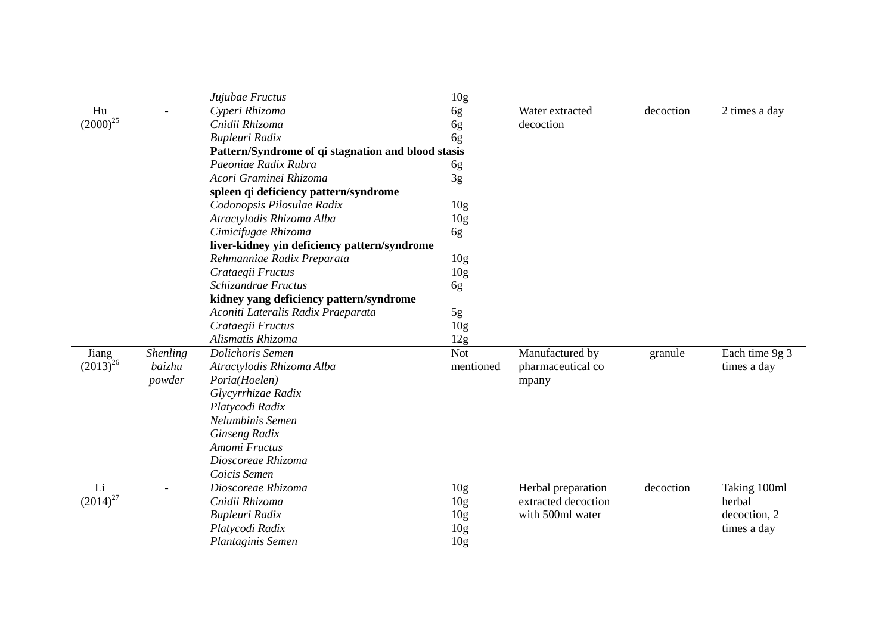|                          | Jujubae Fructus                                    | 10g             |                     |           |                |
|--------------------------|----------------------------------------------------|-----------------|---------------------|-----------|----------------|
| Hu                       | Cyperi Rhizoma                                     | 6g              | Water extracted     | decoction | 2 times a day  |
| $(2000)^{25}$            | Cnidii Rhizoma                                     | 6g              | decoction           |           |                |
|                          | Bupleuri Radix                                     | 6g              |                     |           |                |
|                          | Pattern/Syndrome of qi stagnation and blood stasis |                 |                     |           |                |
|                          | Paeoniae Radix Rubra                               | 6g              |                     |           |                |
|                          | Acori Graminei Rhizoma                             | 3g              |                     |           |                |
|                          | spleen qi deficiency pattern/syndrome              |                 |                     |           |                |
|                          | Codonopsis Pilosulae Radix                         | 10 <sub>g</sub> |                     |           |                |
|                          | Atractylodis Rhizoma Alba                          | 10 <sub>g</sub> |                     |           |                |
|                          | Cimicifugae Rhizoma                                | 6g              |                     |           |                |
|                          | liver-kidney yin deficiency pattern/syndrome       |                 |                     |           |                |
|                          | Rehmanniae Radix Preparata                         | 10 <sub>g</sub> |                     |           |                |
|                          | Crataegii Fructus                                  | 10 <sub>g</sub> |                     |           |                |
|                          | Schizandrae Fructus                                | 6g              |                     |           |                |
|                          | kidney yang deficiency pattern/syndrome            |                 |                     |           |                |
|                          | Aconiti Lateralis Radix Praeparata                 | 5g              |                     |           |                |
|                          | Crataegii Fructus                                  | 10 <sub>g</sub> |                     |           |                |
|                          | Alismatis Rhizoma                                  | 12g             |                     |           |                |
| Jiang<br><b>Shenling</b> | Dolichoris Semen                                   | <b>Not</b>      | Manufactured by     | granule   | Each time 9g 3 |
| $(2013)^{26}$<br>baizhu  | Atractylodis Rhizoma Alba                          | mentioned       | pharmaceutical co   |           | times a day    |
| powder                   | Poria(Hoelen)                                      |                 | mpany               |           |                |
|                          | Glycyrrhizae Radix                                 |                 |                     |           |                |
|                          | Platycodi Radix                                    |                 |                     |           |                |
|                          | Nelumbinis Semen                                   |                 |                     |           |                |
|                          | Ginseng Radix                                      |                 |                     |           |                |
|                          | Amomi Fructus                                      |                 |                     |           |                |
|                          | Dioscoreae Rhizoma                                 |                 |                     |           |                |
|                          | Coicis Semen                                       |                 |                     |           |                |
| Li                       | Dioscoreae Rhizoma                                 | 10 <sub>g</sub> | Herbal preparation  | decoction | Taking 100ml   |
| $(2014)^{27}$            | Cnidii Rhizoma                                     | 10 <sub>g</sub> | extracted decoction |           | herbal         |
|                          | <b>Bupleuri Radix</b>                              | 10 <sub>g</sub> | with 500ml water    |           | decoction, 2   |
|                          | Platycodi Radix                                    | 10 <sub>g</sub> |                     |           | times a day    |
|                          | Plantaginis Semen                                  | 10 <sub>g</sub> |                     |           |                |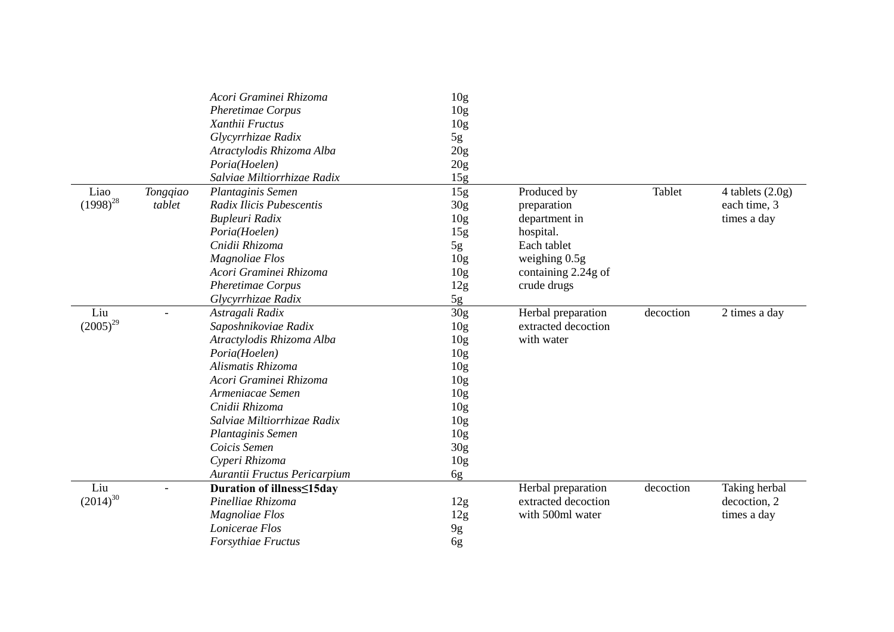|               |          | Acori Graminei Rhizoma           | 10 <sub>g</sub> |                     |           |                    |
|---------------|----------|----------------------------------|-----------------|---------------------|-----------|--------------------|
|               |          | <b>Pheretimae Corpus</b>         | 10 <sub>g</sub> |                     |           |                    |
|               |          | Xanthii Fructus                  | 10g             |                     |           |                    |
|               |          | Glycyrrhizae Radix               | 5g              |                     |           |                    |
|               |          | Atractylodis Rhizoma Alba        | 20g             |                     |           |                    |
|               |          | Poria(Hoelen)                    | 20g             |                     |           |                    |
|               |          | Salviae Miltiorrhizae Radix      | 15g             |                     |           |                    |
| Liao          | Tongqiao | Plantaginis Semen                | 15g             | Produced by         | Tablet    | 4 tablets $(2.0g)$ |
| $(1998)^{28}$ | tablet   | Radix Ilicis Pubescentis         | 30 <sub>g</sub> | preparation         |           | each time, 3       |
|               |          | Bupleuri Radix                   | 10 <sub>g</sub> | department in       |           | times a day        |
|               |          | Poria(Hoelen)                    | 15g             | hospital.           |           |                    |
|               |          | Cnidii Rhizoma                   | 5g              | Each tablet         |           |                    |
|               |          | Magnoliae Flos                   | 10 <sub>g</sub> | weighing $0.5g$     |           |                    |
|               |          | Acori Graminei Rhizoma           | 10 <sub>g</sub> | containing 2.24g of |           |                    |
|               |          | Pheretimae Corpus                | 12g             | crude drugs         |           |                    |
|               |          | Glycyrrhizae Radix               | 5g              |                     |           |                    |
| Liu           |          | Astragali Radix                  | 30g             | Herbal preparation  | decoction | 2 times a day      |
| $(2005)^{29}$ |          | Saposhnikoviae Radix             | 10 <sub>g</sub> | extracted decoction |           |                    |
|               |          | Atractylodis Rhizoma Alba        | 10 <sub>g</sub> | with water          |           |                    |
|               |          | Poria(Hoelen)                    | 10 <sub>g</sub> |                     |           |                    |
|               |          | Alismatis Rhizoma                | 10 <sub>g</sub> |                     |           |                    |
|               |          | Acori Graminei Rhizoma           | 10 <sub>g</sub> |                     |           |                    |
|               |          | Armeniacae Semen                 | 10 <sub>g</sub> |                     |           |                    |
|               |          | Cnidii Rhizoma                   | 10 <sub>g</sub> |                     |           |                    |
|               |          | Salviae Miltiorrhizae Radix      | 10 <sub>g</sub> |                     |           |                    |
|               |          | Plantaginis Semen                | 10 <sub>g</sub> |                     |           |                    |
|               |          | Coicis Semen                     | 30 <sub>g</sub> |                     |           |                    |
|               |          | Cyperi Rhizoma                   | 10 <sub>g</sub> |                     |           |                    |
|               |          | Aurantii Fructus Pericarpium     | 6g              |                     |           |                    |
| Liu           |          | <b>Duration of illness≤15day</b> |                 | Herbal preparation  | decoction | Taking herbal      |
| $(2014)^{30}$ |          | Pinelliae Rhizoma                | 12g             | extracted decoction |           | decoction, 2       |
|               |          | <b>Magnoliae Flos</b>            | 12g             | with 500ml water    |           | times a day        |
|               |          | Lonicerae Flos                   | 9g              |                     |           |                    |
|               |          | Forsythiae Fructus               | 6g              |                     |           |                    |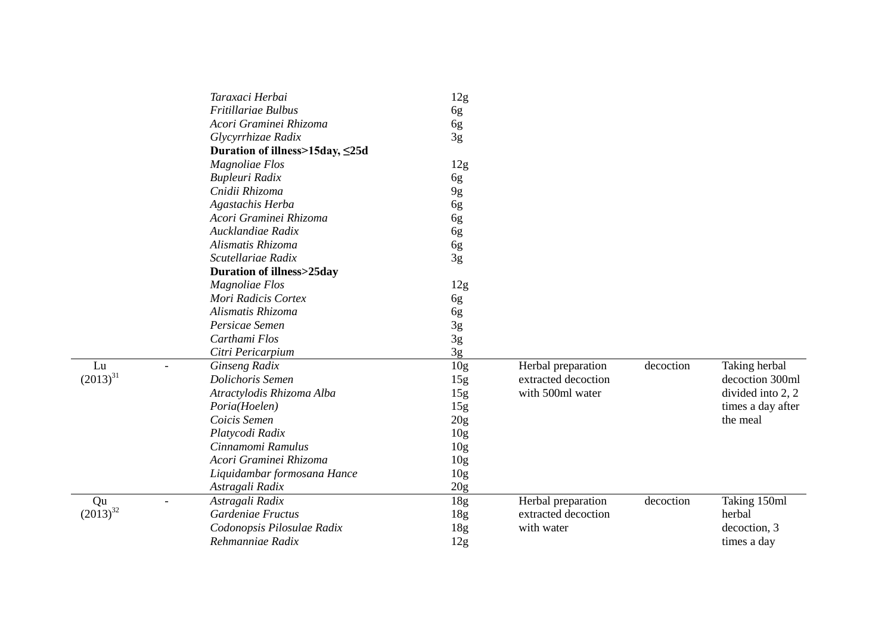| 12g<br>Fritillariae Bulbus<br>6g<br>Acori Graminei Rhizoma<br>6g<br>3g<br>Glycyrrhizae Radix<br>Duration of illness>15day, ≤25d<br><b>Magnoliae Flos</b><br>12g<br>Bupleuri Radix<br>6g<br>Cnidii Rhizoma<br>9g<br>Agastachis Herba<br>6g<br>Acori Graminei Rhizoma<br>6g<br>Aucklandiae Radix<br>6g<br>Alismatis Rhizoma<br>6g<br>3g<br>Scutellariae Radix<br><b>Duration of illness&gt;25day</b><br><b>Magnoliae Flos</b><br>12g<br>Mori Radicis Cortex<br>6g<br>Alismatis Rhizoma<br>6g<br>3g<br>Persicae Semen<br>3g<br>Carthami Flos<br>3g<br>Citri Pericarpium<br>10 <sub>g</sub><br>Ginseng Radix<br>decoction<br>Lu<br>Herbal preparation<br>$(2013)^{31}$<br>Dolichoris Semen<br>15g<br>extracted decoction<br>Atractylodis Rhizoma Alba<br>15g<br>with 500ml water<br>15g<br>Poria(Hoelen)<br>Coicis Semen<br>20 <sub>g</sub> |                   |
|-----------------------------------------------------------------------------------------------------------------------------------------------------------------------------------------------------------------------------------------------------------------------------------------------------------------------------------------------------------------------------------------------------------------------------------------------------------------------------------------------------------------------------------------------------------------------------------------------------------------------------------------------------------------------------------------------------------------------------------------------------------------------------------------------------------------------------------------|-------------------|
|                                                                                                                                                                                                                                                                                                                                                                                                                                                                                                                                                                                                                                                                                                                                                                                                                                         |                   |
|                                                                                                                                                                                                                                                                                                                                                                                                                                                                                                                                                                                                                                                                                                                                                                                                                                         |                   |
|                                                                                                                                                                                                                                                                                                                                                                                                                                                                                                                                                                                                                                                                                                                                                                                                                                         |                   |
|                                                                                                                                                                                                                                                                                                                                                                                                                                                                                                                                                                                                                                                                                                                                                                                                                                         |                   |
|                                                                                                                                                                                                                                                                                                                                                                                                                                                                                                                                                                                                                                                                                                                                                                                                                                         |                   |
|                                                                                                                                                                                                                                                                                                                                                                                                                                                                                                                                                                                                                                                                                                                                                                                                                                         |                   |
|                                                                                                                                                                                                                                                                                                                                                                                                                                                                                                                                                                                                                                                                                                                                                                                                                                         |                   |
|                                                                                                                                                                                                                                                                                                                                                                                                                                                                                                                                                                                                                                                                                                                                                                                                                                         |                   |
|                                                                                                                                                                                                                                                                                                                                                                                                                                                                                                                                                                                                                                                                                                                                                                                                                                         |                   |
|                                                                                                                                                                                                                                                                                                                                                                                                                                                                                                                                                                                                                                                                                                                                                                                                                                         |                   |
|                                                                                                                                                                                                                                                                                                                                                                                                                                                                                                                                                                                                                                                                                                                                                                                                                                         |                   |
|                                                                                                                                                                                                                                                                                                                                                                                                                                                                                                                                                                                                                                                                                                                                                                                                                                         |                   |
|                                                                                                                                                                                                                                                                                                                                                                                                                                                                                                                                                                                                                                                                                                                                                                                                                                         |                   |
|                                                                                                                                                                                                                                                                                                                                                                                                                                                                                                                                                                                                                                                                                                                                                                                                                                         |                   |
|                                                                                                                                                                                                                                                                                                                                                                                                                                                                                                                                                                                                                                                                                                                                                                                                                                         |                   |
|                                                                                                                                                                                                                                                                                                                                                                                                                                                                                                                                                                                                                                                                                                                                                                                                                                         |                   |
|                                                                                                                                                                                                                                                                                                                                                                                                                                                                                                                                                                                                                                                                                                                                                                                                                                         |                   |
|                                                                                                                                                                                                                                                                                                                                                                                                                                                                                                                                                                                                                                                                                                                                                                                                                                         |                   |
|                                                                                                                                                                                                                                                                                                                                                                                                                                                                                                                                                                                                                                                                                                                                                                                                                                         |                   |
|                                                                                                                                                                                                                                                                                                                                                                                                                                                                                                                                                                                                                                                                                                                                                                                                                                         | Taking herbal     |
|                                                                                                                                                                                                                                                                                                                                                                                                                                                                                                                                                                                                                                                                                                                                                                                                                                         | decoction 300ml   |
|                                                                                                                                                                                                                                                                                                                                                                                                                                                                                                                                                                                                                                                                                                                                                                                                                                         | divided into 2, 2 |
|                                                                                                                                                                                                                                                                                                                                                                                                                                                                                                                                                                                                                                                                                                                                                                                                                                         | times a day after |
|                                                                                                                                                                                                                                                                                                                                                                                                                                                                                                                                                                                                                                                                                                                                                                                                                                         | the meal          |
| Platycodi Radix<br>10 <sub>g</sub>                                                                                                                                                                                                                                                                                                                                                                                                                                                                                                                                                                                                                                                                                                                                                                                                      |                   |
| Cinnamomi Ramulus<br>10 <sub>g</sub>                                                                                                                                                                                                                                                                                                                                                                                                                                                                                                                                                                                                                                                                                                                                                                                                    |                   |
| Acori Graminei Rhizoma<br>10 <sub>g</sub>                                                                                                                                                                                                                                                                                                                                                                                                                                                                                                                                                                                                                                                                                                                                                                                               |                   |
| 10 <sub>g</sub><br>Liquidambar formosana Hance                                                                                                                                                                                                                                                                                                                                                                                                                                                                                                                                                                                                                                                                                                                                                                                          |                   |
| 20g<br>Astragali Radix                                                                                                                                                                                                                                                                                                                                                                                                                                                                                                                                                                                                                                                                                                                                                                                                                  |                   |
| decoction<br>Qu<br>Astragali Radix<br>18 <sub>g</sub><br>Herbal preparation                                                                                                                                                                                                                                                                                                                                                                                                                                                                                                                                                                                                                                                                                                                                                             | Taking 150ml      |
| $(2013)^{32}$<br>Gardeniae Fructus<br>extracted decoction<br>herbal<br>18 <sub>g</sub>                                                                                                                                                                                                                                                                                                                                                                                                                                                                                                                                                                                                                                                                                                                                                  |                   |
| Codonopsis Pilosulae Radix<br>18g<br>with water                                                                                                                                                                                                                                                                                                                                                                                                                                                                                                                                                                                                                                                                                                                                                                                         |                   |
| Rehmanniae Radix<br>12g<br>times a day                                                                                                                                                                                                                                                                                                                                                                                                                                                                                                                                                                                                                                                                                                                                                                                                  | decoction, 3      |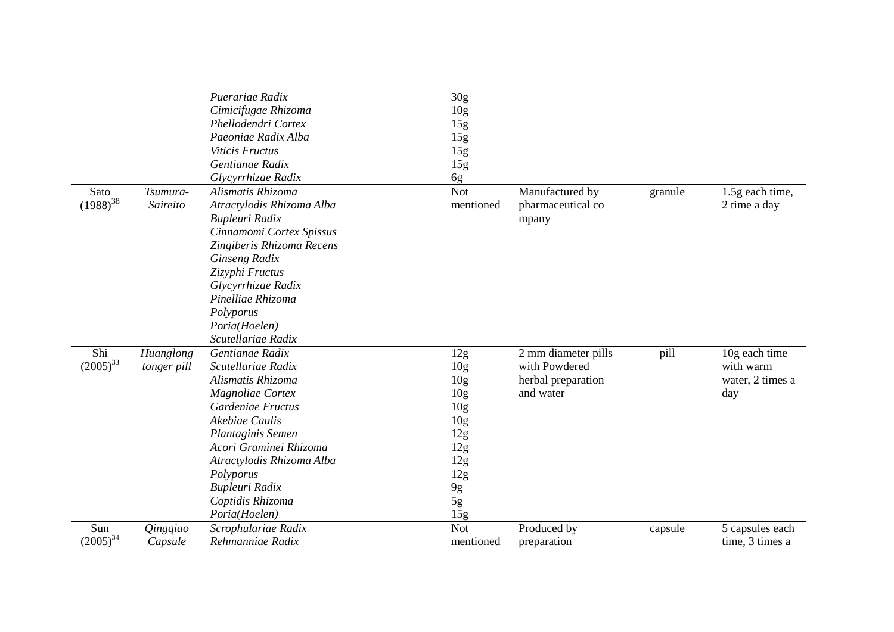|                       |                          | Puerariae Radix<br>Cimicifugae Rhizoma<br>Phellodendri Cortex<br>Paeoniae Radix Alba<br>Viticis Fructus<br>Gentianae Radix<br>Glycyrrhizae Radix                                                                                                                      | 30 <sub>g</sub><br>10 <sub>g</sub><br>15g<br>15g<br>15g<br>15g                                                                                    |                                                                         |         |                                                       |
|-----------------------|--------------------------|-----------------------------------------------------------------------------------------------------------------------------------------------------------------------------------------------------------------------------------------------------------------------|---------------------------------------------------------------------------------------------------------------------------------------------------|-------------------------------------------------------------------------|---------|-------------------------------------------------------|
| Sato<br>$(1988)^{38}$ | Tsumura-<br>Saireito     | Alismatis Rhizoma<br>Atractylodis Rhizoma Alba<br>Bupleuri Radix<br>Cinnamomi Cortex Spissus<br>Zingiberis Rhizoma Recens<br>Ginseng Radix<br>Zizyphi Fructus<br>Glycyrrhizae Radix<br>Pinelliae Rhizoma<br>Polyporus<br>Poria(Hoelen)<br>Scutellariae Radix          | 6g<br><b>Not</b><br>mentioned                                                                                                                     | Manufactured by<br>pharmaceutical co<br>mpany                           | granule | 1.5g each time,<br>2 time a day                       |
| Shi<br>$(2005)^{33}$  | Huanglong<br>tonger pill | Gentianae Radix<br>Scutellariae Radix<br>Alismatis Rhizoma<br>Magnoliae Cortex<br>Gardeniae Fructus<br>Akebiae Caulis<br>Plantaginis Semen<br>Acori Graminei Rhizoma<br>Atractylodis Rhizoma Alba<br>Polyporus<br>Bupleuri Radix<br>Coptidis Rhizoma<br>Poria(Hoelen) | 12g<br>10 <sub>g</sub><br>10 <sub>g</sub><br>10 <sub>g</sub><br>10 <sub>g</sub><br>10 <sub>g</sub><br>12g<br>12g<br>12g<br>12g<br>9g<br>5g<br>15g | 2 mm diameter pills<br>with Powdered<br>herbal preparation<br>and water | pill    | 10g each time<br>with warm<br>water, 2 times a<br>day |
| Sun<br>$(2005)^{34}$  | Qingqiao<br>Capsule      | Scrophulariae Radix<br>Rehmanniae Radix                                                                                                                                                                                                                               | Not<br>mentioned                                                                                                                                  | Produced by<br>preparation                                              | capsule | 5 capsules each<br>time, 3 times a                    |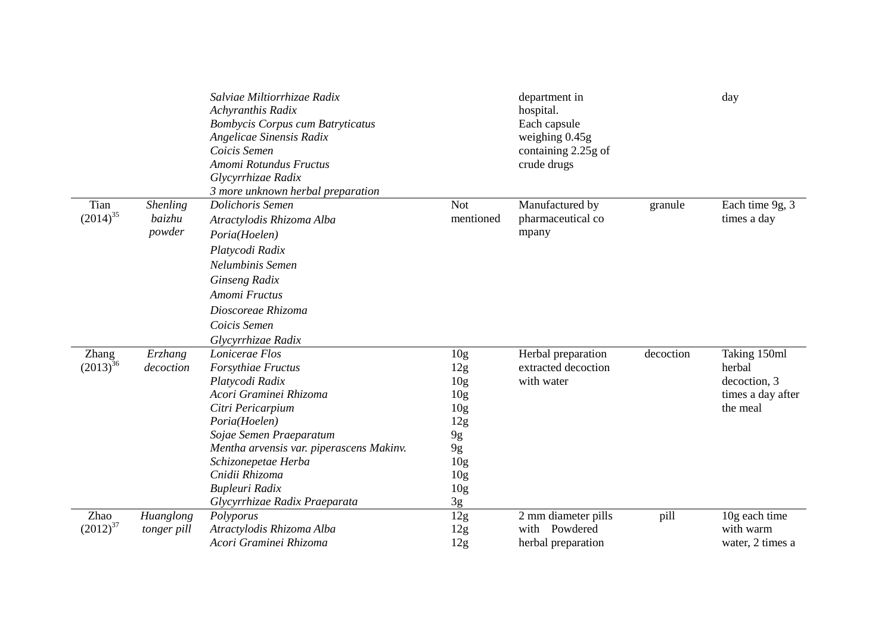|                        |                                     | Salviae Miltiorrhizae Radix<br>Achyranthis Radix<br><b>Bombycis Corpus cum Batryticatus</b><br>Angelicae Sinensis Radix<br>Coicis Semen<br>Amomi Rotundus Fructus<br>Glycyrrhizae Radix<br>3 more unknown herbal preparation                                                                                     |                                                                                                                                                                   | department in<br>hospital.<br>Each capsule<br>weighing 0.45g<br>containing 2.25g of<br>crude drugs |           | day                                                                     |
|------------------------|-------------------------------------|------------------------------------------------------------------------------------------------------------------------------------------------------------------------------------------------------------------------------------------------------------------------------------------------------------------|-------------------------------------------------------------------------------------------------------------------------------------------------------------------|----------------------------------------------------------------------------------------------------|-----------|-------------------------------------------------------------------------|
| Tian<br>$(2014)^{35}$  | <b>Shenling</b><br>baizhu<br>powder | Dolichoris Semen<br>Atractylodis Rhizoma Alba<br>Poria(Hoelen)<br>Platycodi Radix<br>Nelumbinis Semen<br>Ginseng Radix<br>Amomi Fructus<br>Dioscoreae Rhizoma<br>Coicis Semen                                                                                                                                    | <b>Not</b><br>mentioned                                                                                                                                           | Manufactured by<br>pharmaceutical co<br>mpany                                                      | granule   | Each time 9g, 3<br>times a day                                          |
| Zhang<br>$(2013)^{36}$ | Erzhang<br>decoction                | Glycyrrhizae Radix<br>Lonicerae Flos<br>Forsythiae Fructus<br>Platycodi Radix<br>Acori Graminei Rhizoma<br>Citri Pericarpium<br>Poria(Hoelen)<br>Sojae Semen Praeparatum<br>Mentha arvensis var. piperascens Makinv.<br>Schizonepetae Herba<br>Cnidii Rhizoma<br>Bupleuri Radix<br>Glycyrrhizae Radix Praeparata | 10 <sub>g</sub><br>12g<br>10 <sub>g</sub><br>10 <sub>g</sub><br>10 <sub>g</sub><br>12g<br>9g<br>9g<br>10 <sub>g</sub><br>10 <sub>g</sub><br>10 <sub>g</sub><br>3g | Herbal preparation<br>extracted decoction<br>with water                                            | decoction | Taking 150ml<br>herbal<br>decoction, 3<br>times a day after<br>the meal |
| Zhao<br>$(2012)^{37}$  | Huanglong<br>tonger pill            | Polyporus<br>Atractylodis Rhizoma Alba<br>Acori Graminei Rhizoma                                                                                                                                                                                                                                                 | 12g<br>12g<br>12g                                                                                                                                                 | 2 mm diameter pills<br>Powdered<br>with<br>herbal preparation                                      | pill      | 10g each time<br>with warm<br>water, 2 times a                          |